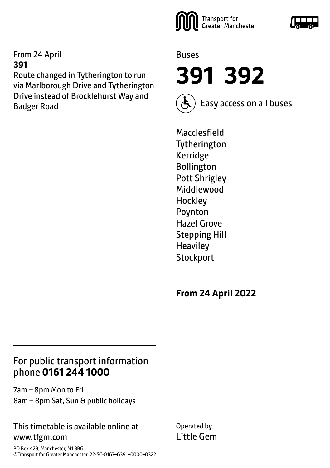#### From 24 April **391**

Route changed in Tytherington to run via Marlborough Drive and Tytherington Drive instead of Brocklehurst Way and Badger Road





**391 392**



Easy access on all buses

Macclesfield **Tytherington** Kerridge Bollington Pott Shrigley Middlewood **Hockley** Poynton Hazel Grove Stepping Hill **Heaviley Stockport** 

**From 24 April 2022**

#### For public transport information phone **0161 244 1000**

7am – 8pm Mon to Fri 8am – 8pm Sat, Sun & public holidays

#### This timetable is available online at www.tfgm.com

Operated by Little Gem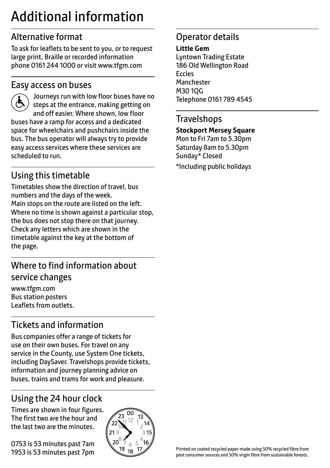# Additional information

### Alternative format

To ask for leaflets to be sent to you, or to request large print, Braille or recorded information phone 0161 244 1000 or visit www.tfgm.com

#### Easy access on buses



 Journeys run with low floor buses have no steps at the entrance, making getting on and off easier. Where shown, low floor buses have a ramp for access and a dedicated space for wheelchairs and pushchairs inside the bus. The bus operator will always try to provide easy access services where these services are scheduled to run.

### Using this timetable

Timetables show the direction of travel, bus numbers and the days of the week. Main stops on the route are listed on the left. Where no time is shown against a particular stop, the bus does not stop there on that journey. Check any letters which are shown in the timetable against the key at the bottom of the page.

### Where to find information about service changes

www.tfgm.com Bus station posters Leaflets from outlets.

### Tickets and information

Bus companies offer a range of tickets for use on their own buses. For travel on any service in the County, use System One tickets, including DaySaver. Travelshops provide tickets, information and journey planning advice on buses, trains and trams for work and pleasure.

# Using the 24 hour clock

Times are shown in four figures. The first two are the hour and the last two are the minutes.

0753 is 53 minutes past 7am 1953 is 53 minutes past 7pm



### Operator details

#### **Little Gem**

Lyntown Trading Estate 186 Old Wellington Road Eccles Manchester M30 1QG Telephone 0161 789 4545

#### **Travelshops**

#### **Stockport Mersey Square**

Mon to Fri 7am to 5.30pm Saturday 8am to 5.30pm Sunday\* Closed

\*Including public holidays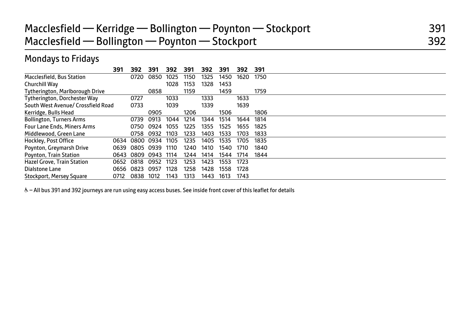#### Mondays to Fridays

|                                    | 391  | 392  | 391  | 392  | 391  | 392  | 391  | 392  | 391  |
|------------------------------------|------|------|------|------|------|------|------|------|------|
| Macclesfield, Bus Station          |      | 0720 | 0850 | 1025 | 1150 | 1325 | 1450 | 1620 | 1750 |
| Churchill Way                      |      |      |      | 1028 | 1153 | 1328 | 1453 |      |      |
| Tytherington, Marlborough Drive    |      |      | 0858 |      | 1159 |      | 1459 |      | 1759 |
| Tytherington, Dorchester Way       |      | 0727 |      | 1033 |      | 1333 |      | 1633 |      |
| South West Avenue/ Crossfield Road |      | 0733 |      | 1039 |      | 1339 |      | 1639 |      |
| Kerridge, Bulls Head               |      |      | 0905 |      | 1206 |      | 1506 |      | 1806 |
| <b>Bollington, Turners Arms</b>    |      | 0739 | 0913 | 1044 | 1214 | 1344 | 1514 | 1644 | 1814 |
| <b>Four Lane Ends, Miners Arms</b> |      | 0750 | 0924 | 1055 | 1225 | 1355 | 1525 | 1655 | 1825 |
| Middlewood, Green Lane             |      | 0758 | 0932 | 1103 | 1233 | 1403 | 1533 | 1703 | 1833 |
| Hockley, Post Office               | 0634 | 0800 | 0934 | 1105 | 1235 | 1405 | 1535 | 1705 | 1835 |
| Poynton, Greymarsh Drive           | 0639 | 0805 | 0939 | 1110 | 1240 | 1410 | 1540 | 1710 | 1840 |
| <b>Poynton, Train Station</b>      | 0643 | 0809 | 0943 | 1114 | 1244 | 1414 | 1544 | 1714 | 1844 |
| <b>Hazel Grove, Train Station</b>  | 0652 | 0818 | 0952 | 1123 | 1253 | 1423 | 1553 | 1723 |      |
| Dialstone Lane                     | 0656 | 0823 | 0957 | 1128 | 1258 | 1428 | 1558 | 1728 |      |
| Stockport, Mersey Square           | 0712 | 0838 | 1012 | 1143 | 1313 | 1443 | 1613 | 1743 |      |

& - All bus 391 and 392 journeys are run using easy access buses. See inside front cover of this leaflet for details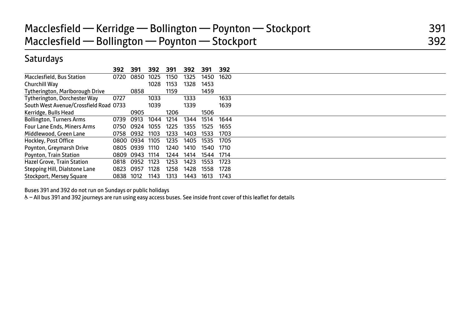# Macclesfield — Kerridge — Bollington — Poynton — Stockport 391 Macclesfield — Bollington — Poynton — Stockport **1988** and 392

#### **Saturdays**

|                                        | 392  | 391       | 392  | 391  | 392  | 391  | 392  |  |
|----------------------------------------|------|-----------|------|------|------|------|------|--|
| Macclesfield, Bus Station              | 0720 | 0850      | 1025 | 1150 | 1325 | 1450 | 1620 |  |
| Churchill Way                          |      |           | 1028 | 1153 | 1328 | 1453 |      |  |
| <b>Tytherington, Marlborough Drive</b> |      | 0858      |      | 1159 |      | 1459 |      |  |
| Tytherington, Dorchester Way           | 0727 |           | 1033 |      | 1333 |      | 1633 |  |
| South West Avenue/Crossfield Road 0733 |      |           | 1039 |      | 1339 |      | 1639 |  |
| Kerridge, Bulls Head                   |      | 0905      |      | 1206 |      | 1506 |      |  |
| <b>Bollington, Turners Arms</b>        | 0739 | 0913      | 1044 | 1214 | 1344 | 1514 | 1644 |  |
| <b>Four Lane Ends, Miners Arms</b>     | 0750 | 0924      | 1055 | 1225 | 1355 | 1525 | 1655 |  |
| Middlewood, Green Lane                 | 0758 | 0932      | 1103 | 1233 | 1403 | 1533 | 1703 |  |
| Hockley, Post Office                   |      | 0800 0934 | 1105 | 1235 | 1405 | 1535 | 1705 |  |
| Poynton, Greymarsh Drive               | 0805 | 0939      | 1110 | 1240 | 1410 | 1540 | 1710 |  |
| <b>Poynton, Train Station</b>          | 0809 | 0943      | 1114 | 1244 | 1414 | 1544 | 1714 |  |
| <b>Hazel Grove, Train Station</b>      | 0818 | 0952      | 1123 | 1253 | 1423 | 1553 | 1723 |  |
| Stepping Hill, Dialstone Lane          | 0823 | 0957      | 1128 | 1258 | 1428 | 1558 | 1728 |  |
| Stockport, Mersey Square               | 0838 | 1012      | 1143 | 1313 | 1443 | 1613 | 1743 |  |

Buses 391 and 392 do not run on Sundays or public holidays

& - All bus 391 and 392 journeys are run using easy access buses. See inside front cover of this leaflet for details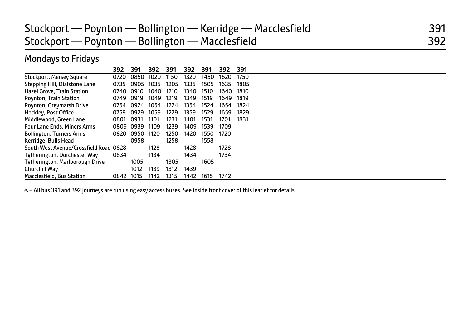### Stockport — Poynton — Bollington — Kerridge — Macclesfield 391 Stockport — Poynton — Bollington — Macclesfield 392

#### Mondays to Fridays

|                                        | 392  | 391  | 392  | 391  | 392  | 391  | 392  | 391  |  |
|----------------------------------------|------|------|------|------|------|------|------|------|--|
| Stockport, Mersey Square               | 0720 | 0850 | 1020 | 1150 | 1320 | 1450 | 1620 | 1750 |  |
| Stepping Hill, Dialstone Lane          | 0735 | 0905 | 1035 | 1205 | 1335 | 1505 | 1635 | 1805 |  |
| <b>Hazel Grove, Train Station</b>      | 0740 | 0910 | 1040 | 1210 | 1340 | 1510 | 1640 | 1810 |  |
| Poynton, Train Station                 | 0749 | 0919 | 1049 | 1219 | 1349 | 1519 | 1649 | 1819 |  |
| Poynton, Greymarsh Drive               | 0754 | 0924 | 1054 | 1224 | 1354 | 1524 | 1654 | 1824 |  |
| Hockley, Post Office                   | 0759 | 0929 | 1059 | 1229 | 1359 | 1529 | 1659 | 1829 |  |
| Middlewood, Green Lane                 | 0801 | 0931 | 1101 | 1231 | 1401 | 1531 | 1701 | 1831 |  |
| <b>Four Lane Ends, Miners Arms</b>     | 0809 | 0939 | 1109 | 1239 | 1409 | 1539 | 1709 |      |  |
| <b>Bollington, Turners Arms</b>        | 0820 | 0950 | 1120 | 1250 | 1420 | 1550 | 1720 |      |  |
| Kerridge, Bulls Head                   |      | 0958 |      | 1258 |      | 1558 |      |      |  |
| South West Avenue/Crossfield Road 0828 |      |      | 1128 |      | 1428 |      | 1728 |      |  |
| Tytherington, Dorchester Wav           | 0834 |      | 1134 |      | 1434 |      | 1734 |      |  |
| Tytherington, Marlborough Drive        |      | 1005 |      | 1305 |      | 1605 |      |      |  |
| Churchill Way                          |      | 1012 | 1139 | 1312 | 1439 |      |      |      |  |
| <b>Macclesfield, Bus Station</b>       | 0842 | 1015 | 1142 | 1315 | 1442 | 1615 | 1742 |      |  |

& - All bus 391 and 392 journeys are run using easy access buses. See inside front cover of this leaflet for details